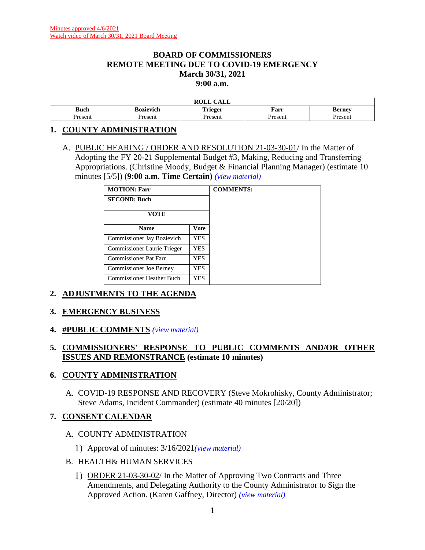### **BOARD OF COMMISSIONERS REMOTE MEETING DUE TO COVID-19 EMERGENCY March 30/31, 2021 9:00 a.m.**

|               |           | $\sim$ $\sim$ $\sim$<br>$\mathbf{r} \wedge \mathbf{r}$<br>KULL<br><u>valit</u> |         |                               |
|---------------|-----------|--------------------------------------------------------------------------------|---------|-------------------------------|
| <b>Buch</b>   | Bozievich | Trigger                                                                        | Farr    | $\mathbf{p}_{\mathbf{armav}}$ |
| Jrocon<br>эсп | Present   | Present                                                                        | -resent | resent                        |

### **1. COUNTY ADMINISTRATION**

A. PUBLIC HEARING / ORDER AND RESOLUTION 21-03-30-01/ In the Matter of Adopting the FY 20-21 Supplemental Budget #3, Making, Reducing and Transferring Appropriations. (Christine Moody, Budget & Financial Planning Manager) (estimate 10 minutes [5/5]) (**9:00 a.m. Time Certain)** *(view [material\)](http://www.lanecountyor.gov/UserFiles/Servers/Server_3585797/File/Government/BCC/2021/2021_AGENDAS/033021agenda/T.1.A.pdf)*

| <b>MOTION: Farr</b>              |             | <b>COMMENTS:</b> |
|----------------------------------|-------------|------------------|
| <b>SECOND: Buch</b>              |             |                  |
| VOTE                             |             |                  |
| <b>Name</b>                      | <b>Vote</b> |                  |
| Commissioner Jay Bozievich       | <b>YES</b>  |                  |
| Commissioner Laurie Trieger      | YES         |                  |
| Commissioner Pat Farr            | YES.        |                  |
| <b>Commissioner Joe Berney</b>   | YES         |                  |
| <b>Commissioner Heather Buch</b> | <b>YES</b>  |                  |

### **2. ADJUSTMENTS TO THE AGENDA**

### **3. EMERGENCY BUSINESS**

**4. #PUBLIC COMMENTS** *(view [material\)](http://www.lanecountyor.gov/UserFiles/Servers/Server_3585797/File/Government/BCC/2021/2021_AGENDAS/033021agenda/T.4.pdf)*

### **5. COMMISSIONERS' RESPONSE TO PUBLIC COMMENTS AND/OR OTHER ISSUES AND REMONSTRANCE (estimate 10 minutes)**

### **6. COUNTY ADMINISTRATION**

A. COVID-19 RESPONSE AND RECOVERY (Steve Mokrohisky, County Administrator; Steve Adams, Incident Commander) (estimate 40 minutes [20/20])

### **7. CONSENT CALENDAR**

### A. COUNTY ADMINISTRATION

- Approval of minutes: 3/16/2021*(view [material\)](http://www.lanecountyor.gov/UserFiles/Servers/Server_3585797/File/Government/BCC/2021/2021_AGENDAS/033021agenda/T.7.A.1.pdf)*
- B. HEALTH& HUMAN SERVICES
	- 1) ORDER 21-03-30-02/ In the Matter of Approving Two Contracts and Three Amendments, and Delegating Authority to the County Administrator to Sign the Approved Action. (Karen Gaffney, Director) *(view [material\)](http://www.lanecountyor.gov/UserFiles/Servers/Server_3585797/File/Government/BCC/2021/2021_AGENDAS/033021agenda/T.7.B.1.pdf)*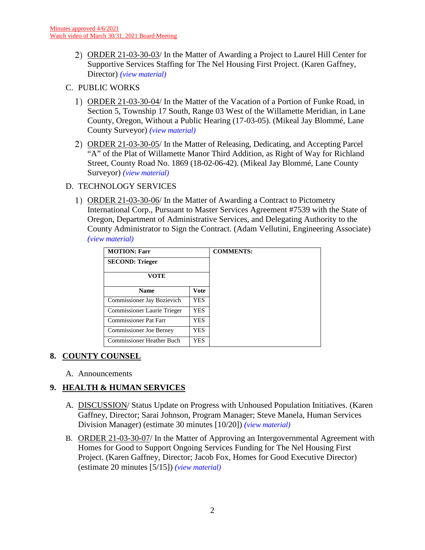- ORDER 21-03-30-03/ In the Matter of Awarding a Project to Laurel Hill Center for Supportive Services Staffing for The Nel Housing First Project. (Karen Gaffney, Director) *(view [material\)](http://www.lanecountyor.gov/UserFiles/Servers/Server_3585797/File/Government/BCC/2021/2021_AGENDAS/033021agenda/T.7.B.2.pdf)*
- C. PUBLIC WORKS
	- ORDER 21-03-30-04/ In the Matter of the Vacation of a Portion of Funke Road, in Section 5, Township 17 South, Range 03 West of the Willamette Meridian, in Lane County, Oregon, Without a Public Hearing (17-03-05). (Mikeal Jay Blommé, Lane County Surveyor) *(view [material\)](http://www.lanecountyor.gov/UserFiles/Servers/Server_3585797/File/Government/BCC/2021/2021_AGENDAS/033021agenda/T.7.C.1.pdf)*
	- ORDER 21-03-30-05/ In the Matter of Releasing, Dedicating, and Accepting Parcel "A" of the Plat of Willamette Manor Third Addition, as Right of Way for Richland Street, County Road No. 1869 (18-02-06-42). (Mikeal Jay Blommé, Lane County Surveyor) *(view [material\)](http://www.lanecountyor.gov/UserFiles/Servers/Server_3585797/File/Government/BCC/2021/2021_AGENDAS/033021agenda/T.7.C.2.pdf)*

## D. TECHNOLOGY SERVICES

1) ORDER 21-03-30-06/ In the Matter of Awarding a Contract to Pictometry International Corp., Pursuant to Master Services Agreement #7539 with the State of Oregon, Department of Administrative Services, and Delegating Authority to the County Administrator to Sign the Contract. (Adam Vellutini, Engineering Associate) *(view [material\)](http://www.lanecountyor.gov/UserFiles/Servers/Server_3585797/File/Government/BCC/2021/2021_AGENDAS/033021agenda/T.7.D.1.pdf)*

| <b>MOTION: Farr</b>            |             | <b>COMMENTS:</b> |
|--------------------------------|-------------|------------------|
| <b>SECOND: Trieger</b>         |             |                  |
| VOTE                           |             |                  |
| <b>Name</b>                    | <b>Vote</b> |                  |
| Commissioner Jay Bozievich     | YES.        |                  |
| Commissioner Laurie Trieger    | <b>YES</b>  |                  |
| <b>Commissioner Pat Farr</b>   | YES.        |                  |
| <b>Commissioner Joe Berney</b> | YES.        |                  |
| Commissioner Heather Buch      | YES.        |                  |

# **8. COUNTY COUNSEL**

A. Announcements

# **9. HEALTH & HUMAN SERVICES**

- A. DISCUSSION/ Status Update on Progress with Unhoused Population Initiatives. (Karen Gaffney, Director; Sarai Johnson, Program Manager; Steve Manela, Human Services Division Manager) (estimate 30 minutes [10/20]) *(view [material\)](http://www.lanecountyor.gov/UserFiles/Servers/Server_3585797/File/Government/BCC/2021/2021_AGENDAS/033021agenda/T.9.A.pdf)*
- B. ORDER 21-03-30-07/ In the Matter of Approving an Intergovernmental Agreement with Homes for Good to Support Ongoing Services Funding for The Nel Housing First Project. (Karen Gaffney, Director; Jacob Fox, Homes for Good Executive Director) (estimate 20 minutes [5/15]) *(view [material\)](http://www.lanecountyor.gov/UserFiles/Servers/Server_3585797/File/Government/BCC/2021/2021_AGENDAS/033021agenda/T.9.B.pdf)*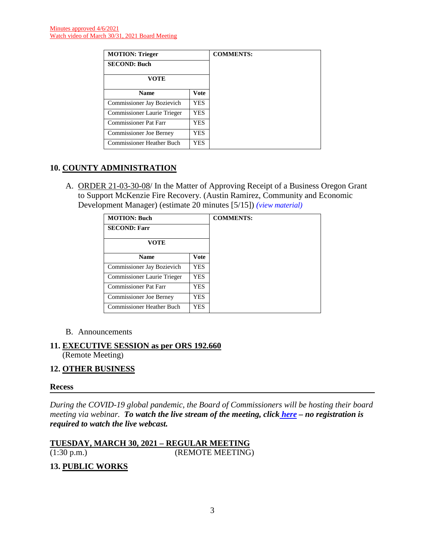| <b>MOTION: Trieger</b>           |      |
|----------------------------------|------|
| <b>SECOND: Buch</b>              |      |
| VOTE                             |      |
| <b>Name</b>                      | Vote |
| Commissioner Jay Bozievich       | YES. |
| Commissioner Laurie Trieger      | YES. |
| <b>Commissioner Pat Farr</b>     | YES  |
| <b>Commissioner Joe Berney</b>   | YES  |
| <b>Commissioner Heather Buch</b> | YES  |

# **10. COUNTY ADMINISTRATION**

A. ORDER 21-03-30-08/ In the Matter of Approving Receipt of a Business Oregon Grant to Support McKenzie Fire Recovery. (Austin Ramirez, Community and Economic Development Manager) (estimate 20 minutes [5/15]) *(view [material\)](http://www.lanecountyor.gov/UserFiles/Servers/Server_3585797/File/Government/BCC/2021/2021_AGENDAS/033021agenda/T.10.A.pdf)*

| <b>MOTION: Buch</b>            |             | <b>COMMENTS:</b> |
|--------------------------------|-------------|------------------|
| <b>SECOND: Farr</b>            |             |                  |
| <b>VOTE</b>                    |             |                  |
| <b>Name</b>                    | <b>Vote</b> |                  |
| Commissioner Jay Bozievich     | YES.        |                  |
| Commissioner Laurie Trieger    | YES.        |                  |
| <b>Commissioner Pat Farr</b>   | YES         |                  |
| <b>Commissioner Joe Berney</b> | YES         |                  |
| Commissioner Heather Buch      | YES.        |                  |

### B. Announcements

# **11. EXECUTIVE SESSION as per ORS 192.660**

(Remote Meeting)

### **12. OTHER BUSINESS**

### **Recess**

*During the COVID-19 global pandemic, the Board of Commissioners will be hosting their board meeting via webinar. To watch the live stream of the meeting, click [here](https://lanecounty.org/cms/One.aspx?portalId=3585881&pageId=7842434) – no registration is required to watch the live webcast.*

**TUESDAY, MARCH 30, 2021 – REGULAR MEETING**  (1:30 p.m.) (REMOTE MEETING)

# **13. PUBLIC WORKS**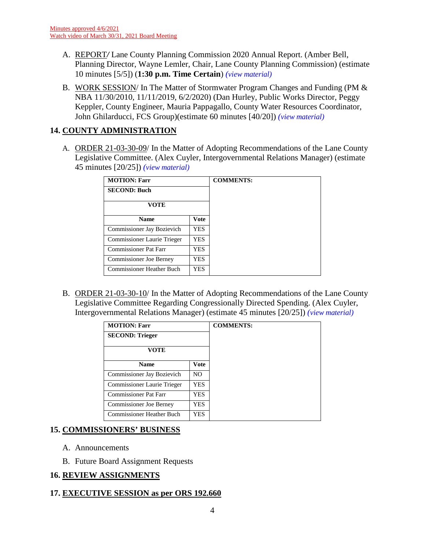- A. REPORT*/* Lane County Planning Commission 2020 Annual Report. (Amber Bell, Planning Director, Wayne Lemler, Chair, Lane County Planning Commission) (estimate 10 minutes [5/5]) (**1:30 p.m. Time Certain**) *(view [material\)](http://www.lanecountyor.gov/UserFiles/Servers/Server_3585797/File/Government/BCC/2021/2021_AGENDAS/033021agenda/T.13.A.pdf)*
- B. WORK SESSION/ In The Matter of Stormwater Program Changes and Funding (PM & NBA 11/30/2010, 11/11/2019, 6/2/2020) (Dan Hurley, Public Works Director, Peggy Keppler, County Engineer, Mauria Pappagallo, County Water Resources Coordinator, John Ghilarducci, FCS Group)(estimate 60 minutes [40/20]) *(view [material\)](http://www.lanecountyor.gov/UserFiles/Servers/Server_3585797/File/Government/BCC/2021/2021_AGENDAS/033021agenda/T.13.B.pdf)*

## **14. COUNTY ADMINISTRATION**

A. ORDER 21-03-30-09/ In the Matter of Adopting Recommendations of the Lane County Legislative Committee. (Alex Cuyler, Intergovernmental Relations Manager) (estimate 45 minutes [20/25]) *(view [material\)](http://www.lanecountyor.gov/UserFiles/Servers/Server_3585797/File/Government/BCC/2021/2021_AGENDAS/033021agenda/T.14.A.pdf)*

| <b>MOTION: Farr</b>               |            | <b>COMMENTS:</b> |
|-----------------------------------|------------|------------------|
| <b>SECOND: Buch</b>               |            |                  |
| <b>VOTE</b>                       |            |                  |
| <b>Name</b>                       | Vote       |                  |
| <b>Commissioner Jay Bozievich</b> | <b>YES</b> |                  |
| Commissioner Laurie Trieger       | YES.       |                  |
| <b>Commissioner Pat Farr</b>      | YES.       |                  |
| <b>Commissioner Joe Berney</b>    | YES.       |                  |
| <b>Commissioner Heather Buch</b>  | YES.       |                  |

B. ORDER 21-03-30-10/ In the Matter of Adopting Recommendations of the Lane County Legislative Committee Regarding Congressionally Directed Spending. (Alex Cuyler, Intergovernmental Relations Manager) (estimate 45 minutes [20/25]) *(view [material\)](http://www.lanecountyor.gov/UserFiles/Servers/Server_3585797/File/Government/BCC/2021/2021_AGENDAS/033021agenda/T.14.B.pdf)*

| <b>MOTION: Farr</b>            |                |
|--------------------------------|----------------|
| <b>SECOND: Trieger</b>         |                |
| <b>VOTE</b>                    |                |
| <b>Name</b>                    | <b>Vote</b>    |
| Commissioner Jay Bozievich     | N <sub>O</sub> |
| Commissioner Laurie Trieger    | <b>YES</b>     |
| <b>Commissioner Pat Farr</b>   | <b>YES</b>     |
| <b>Commissioner Joe Berney</b> | YES            |
| Commissioner Heather Buch      | <b>YES</b>     |

### **15. COMMISSIONERS' BUSINESS**

- A. Announcements
- B. Future Board Assignment Requests

# **16. REVIEW ASSIGNMENTS**

# **17. EXECUTIVE SESSION as per ORS 192.660**